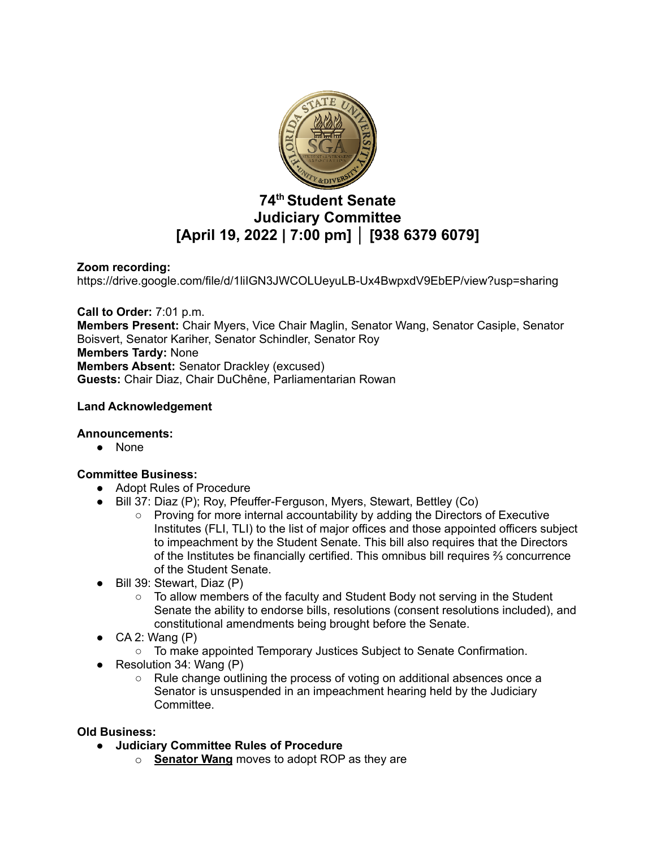

# **74 th Student Senate Judiciary Committee [April 19, 2022 | 7:00 pm] │ [938 6379 6079]**

## **Zoom recording:**

https://drive.google.com/file/d/1liIGN3JWCOLUeyuLB-Ux4BwpxdV9EbEP/view?usp=sharing

**Call to Order:** 7:01 p.m. **Members Present:** Chair Myers, Vice Chair Maglin, Senator Wang, Senator Casiple, Senator Boisvert, Senator Kariher, Senator Schindler, Senator Roy **Members Tardy:** None **Members Absent:** Senator Drackley (excused) **Guests:** Chair Diaz, Chair DuChêne, Parliamentarian Rowan

## **Land Acknowledgement**

## **Announcements:**

● None

## **Committee Business:**

- Adopt Rules of Procedure
- Bill 37: Diaz (P); Roy, Pfeuffer-Ferguson, Myers, Stewart, Bettley (Co)
	- Proving for more internal accountability by adding the Directors of Executive Institutes (FLI, TLI) to the list of major offices and those appointed officers subject to impeachment by the Student Senate. This bill also requires that the Directors of the Institutes be financially certified. This omnibus bill requires ⅔ concurrence of the Student Senate.
- Bill 39: Stewart, Diaz (P)
	- $\circ$  To allow members of the faculty and Student Body not serving in the Student Senate the ability to endorse bills, resolutions (consent resolutions included), and constitutional amendments being brought before the Senate.
- $CA$  2: Wang  $(P)$ 
	- To make appointed Temporary Justices Subject to Senate Confirmation.
- Resolution 34: Wang (P)
	- Rule change outlining the process of voting on additional absences once a Senator is unsuspended in an impeachment hearing held by the Judiciary Committee.

#### **Old Business:**

- **● Judiciary Committee Rules of Procedure**
	- o **Senator Wang** moves to adopt ROP as they are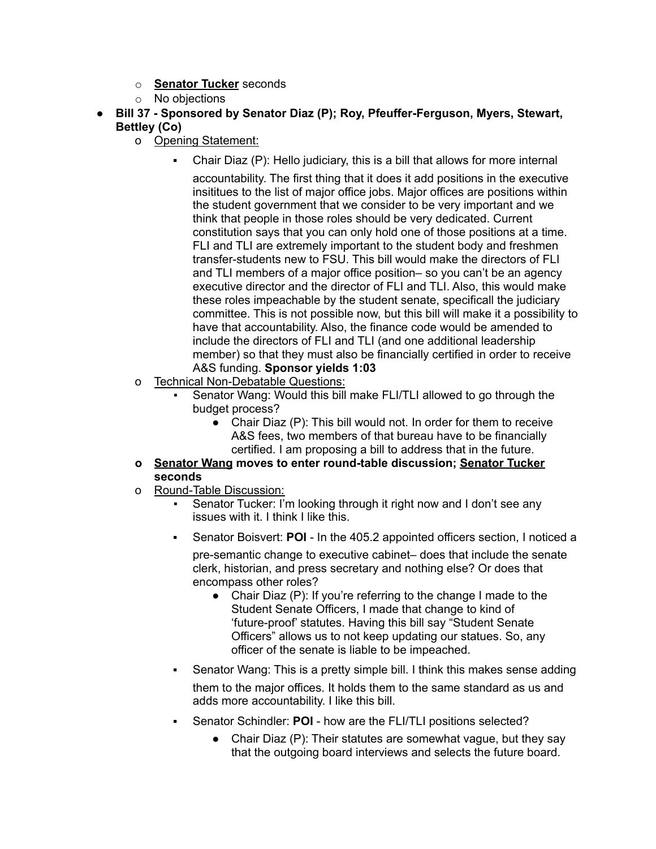- o **Senator Tucker** seconds
- o No objections
- **● Bill 37 - Sponsored by Senator Diaz (P); Roy, Pfeuffer-Ferguson, Myers, Stewart, Bettley (Co)**
	- o Opening Statement:
		- Chair Diaz (P): Hello judiciary, this is a bill that allows for more internal accountability. The first thing that it does it add positions in the executive insititues to the list of major office jobs. Major offices are positions within the student government that we consider to be very important and we think that people in those roles should be very dedicated. Current constitution says that you can only hold one of those positions at a time. FLI and TLI are extremely important to the student body and freshmen transfer-students new to FSU. This bill would make the directors of FLI and TLI members of a major office position– so you can't be an agency executive director and the director of FLI and TLI. Also, this would make these roles impeachable by the student senate, specificall the judiciary committee. This is not possible now, but this bill will make it a possibility to have that accountability. Also, the finance code would be amended to include the directors of FLI and TLI (and one additional leadership member) so that they must also be financially certified in order to receive A&S funding. **Sponsor yields 1:03**
	- o Technical Non-Debatable Questions:
		- Senator Wang: Would this bill make FLI/TLI allowed to go through the budget process?
			- Chair Diaz (P): This bill would not. In order for them to receive A&S fees, two members of that bureau have to be financially certified. I am proposing a bill to address that in the future.
	- **o Senator Wang moves to enter round-table discussion; Senator Tucker seconds**
	- o Round-Table Discussion:
		- Senator Tucker: I'm looking through it right now and I don't see any issues with it. I think I like this.
		- Senator Boisvert: **POI** In the 405.2 appointed officers section, I noticed a

pre-semantic change to executive cabinet– does that include the senate clerk, historian, and press secretary and nothing else? Or does that encompass other roles?

- Chair Diaz (P): If you're referring to the change I made to the Student Senate Officers, I made that change to kind of 'future-proof' statutes. Having this bill say "Student Senate Officers" allows us to not keep updating our statues. So, any officer of the senate is liable to be impeached.
- Senator Wang: This is a pretty simple bill. I think this makes sense adding them to the major offices. It holds them to the same standard as us and adds more accountability. I like this bill.
- Senator Schindler: **POI** how are the FLI/TLI positions selected?
	- Chair Diaz (P): Their statutes are somewhat vague, but they say that the outgoing board interviews and selects the future board.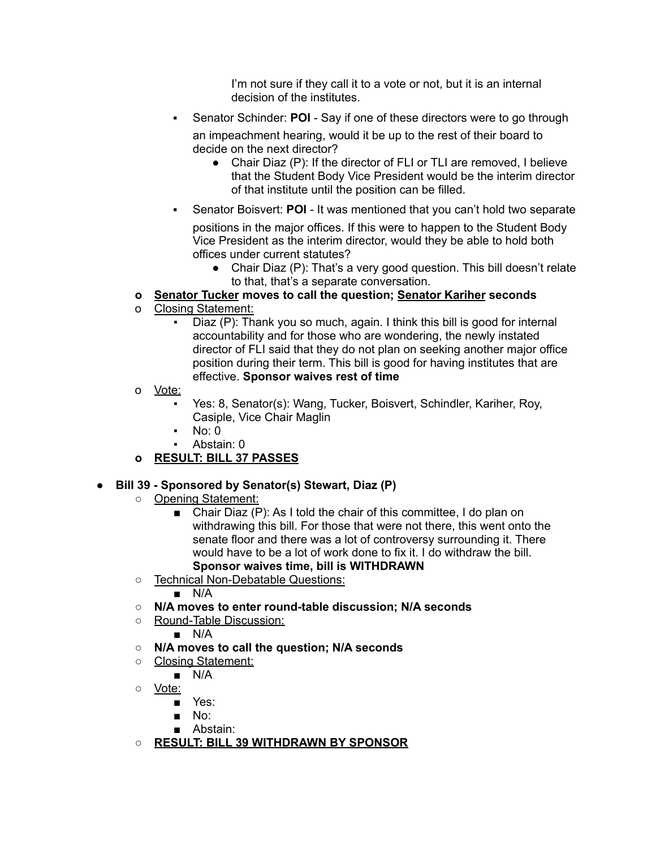I'm not sure if they call it to a vote or not, but it is an internal decision of the institutes.

Senator Schinder: **POI** - Say if one of these directors were to go through

an impeachment hearing, would it be up to the rest of their board to decide on the next director?

- Chair Diaz (P): If the director of FLI or TLI are removed, I believe that the Student Body Vice President would be the interim director of that institute until the position can be filled.
- Senator Boisvert: **POI** It was mentioned that you can't hold two separate

positions in the major offices. If this were to happen to the Student Body Vice President as the interim director, would they be able to hold both offices under current statutes?

• Chair Diaz (P): That's a very good question. This bill doesn't relate to that, that's a separate conversation.

## **o Senator Tucker moves to call the question; Senator Kariher seconds**

- o Closing Statement:
	- Diaz (P): Thank you so much, again. I think this bill is good for internal accountability and for those who are wondering, the newly instated director of FLI said that they do not plan on seeking another major office position during their term. This bill is good for having institutes that are effective. **Sponsor waives rest of time**
- o Vote:
	- Yes: 8, Senator(s): Wang, Tucker, Boisvert, Schindler, Kariher, Roy, Casiple, Vice Chair Maglin
	- $No: 0$
	- Abstain: 0

## **o RESULT: BILL 37 PASSES**

## **● Bill 39 - Sponsored by Senator(s) Stewart, Diaz (P)**

- Opening Statement:
	- Chair Diaz (P): As I told the chair of this committee, I do plan on withdrawing this bill. For those that were not there, this went onto the senate floor and there was a lot of controversy surrounding it. There would have to be a lot of work done to fix it. I do withdraw the bill. **Sponsor waives time, bill is WITHDRAWN**
- Technical Non-Debatable Questions:
	- N/A
- **○ N/A moves to enter round-table discussion; N/A seconds**
- Round-Table Discussion:
	- N/A
- **○ N/A moves to call the question; N/A seconds**
- Closing Statement:
	- N/A
- Vote:
	- Yes:
	- No:
	- Abstain:
- **○ RESULT: BILL 39 WITHDRAWN BY SPONSOR**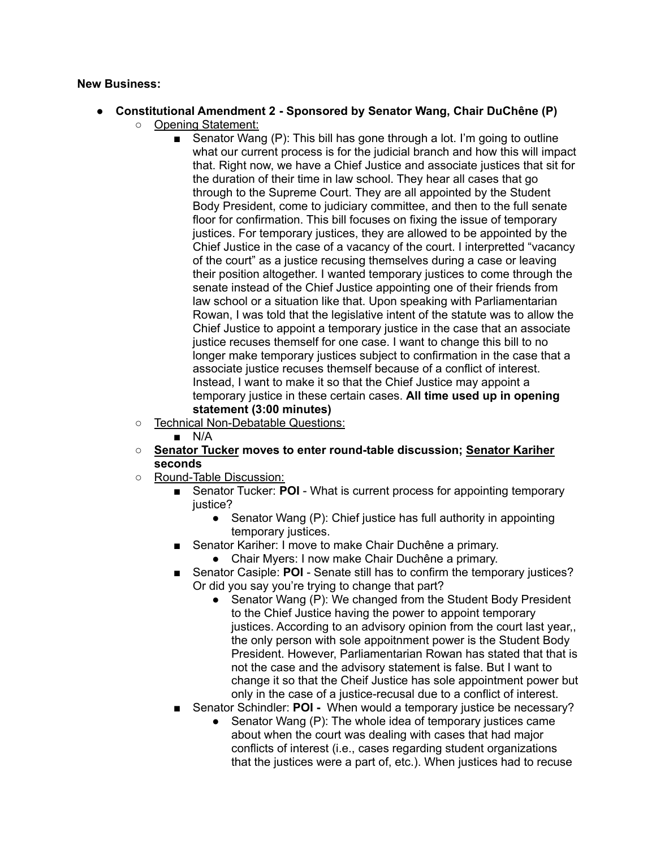#### **New Business:**

- **● Constitutional Amendment 2 - Sponsored by Senator Wang, Chair DuChêne (P)** ○ Opening Statement:
	- Senator Wang (P): This bill has gone through a lot. I'm going to outline what our current process is for the judicial branch and how this will impact that. Right now, we have a Chief Justice and associate justices that sit for the duration of their time in law school. They hear all cases that go through to the Supreme Court. They are all appointed by the Student Body President, come to judiciary committee, and then to the full senate floor for confirmation. This bill focuses on fixing the issue of temporary justices. For temporary justices, they are allowed to be appointed by the Chief Justice in the case of a vacancy of the court. I interpretted "vacancy of the court" as a justice recusing themselves during a case or leaving their position altogether. I wanted temporary justices to come through the senate instead of the Chief Justice appointing one of their friends from law school or a situation like that. Upon speaking with Parliamentarian Rowan, I was told that the legislative intent of the statute was to allow the Chief Justice to appoint a temporary justice in the case that an associate justice recuses themself for one case. I want to change this bill to no longer make temporary justices subject to confirmation in the case that a associate justice recuses themself because of a conflict of interest. Instead, I want to make it so that the Chief Justice may appoint a temporary justice in these certain cases. **All time used up in opening statement (3:00 minutes)**
	- Technical Non-Debatable Questions:
		- N/A
	- **○ Senator Tucker moves to enter round-table discussion; Senator Kariher seconds**
	- Round-Table Discussion:
		- Senator Tucker: **POI** What is current process for appointing temporary justice?
			- Senator Wang (P): Chief justice has full authority in appointing temporary justices.
		- Senator Kariher: I move to make Chair Duchêne a primary.
			- Chair Myers: I now make Chair Duchêne a primary.
		- Senator Casiple: **POI** Senate still has to confirm the temporary justices? Or did you say you're trying to change that part?
			- Senator Wang (P): We changed from the Student Body President to the Chief Justice having the power to appoint temporary justices. According to an advisory opinion from the court last year, the only person with sole appoitnment power is the Student Body President. However, Parliamentarian Rowan has stated that that is not the case and the advisory statement is false. But I want to change it so that the Cheif Justice has sole appointment power but only in the case of a justice-recusal due to a conflict of interest.
		- Senator Schindler: **POI -** When would a temporary justice be necessary?
			- Senator Wang (P): The whole idea of temporary justices came about when the court was dealing with cases that had major conflicts of interest (i.e., cases regarding student organizations that the justices were a part of, etc.). When justices had to recuse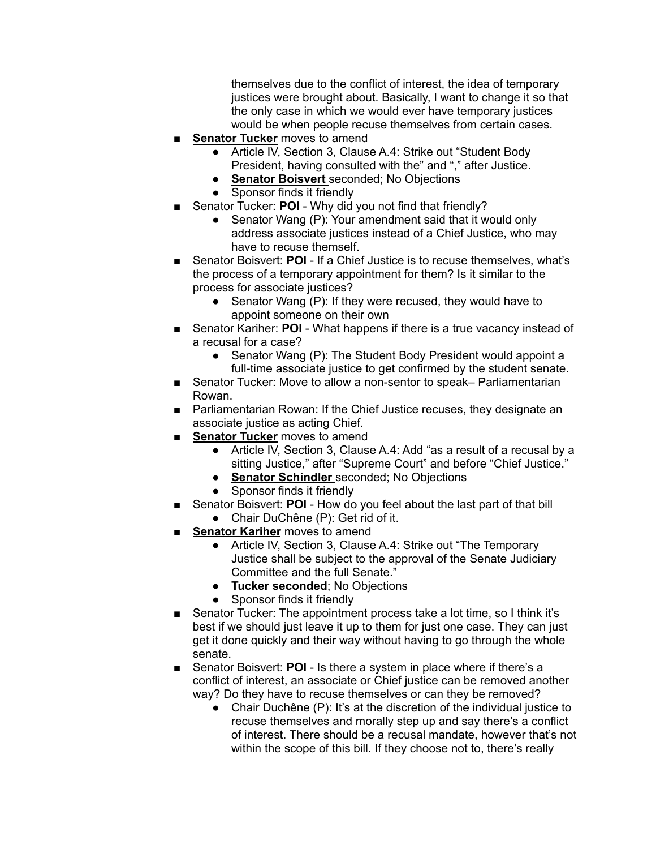themselves due to the conflict of interest, the idea of temporary justices were brought about. Basically, I want to change it so that the only case in which we would ever have temporary justices would be when people recuse themselves from certain cases.

- **Senator Tucker** moves to amend
	- Article IV, Section 3, Clause A.4: Strike out "Student Body President, having consulted with the" and "," after Justice.
	- **Senator Boisvert** seconded; No Objections
	- Sponsor finds it friendly
	- Senator Tucker: **POI** Why did you not find that friendly?
		- Senator Wang (P): Your amendment said that it would only address associate justices instead of a Chief Justice, who may have to recuse themself.
- Senator Boisvert: **POI** If a Chief Justice is to recuse themselves, what's the process of a temporary appointment for them? Is it similar to the process for associate justices?
	- Senator Wang (P): If they were recused, they would have to appoint someone on their own
- Senator Kariher: **POI** What happens if there is a true vacancy instead of a recusal for a case?
	- Senator Wang (P): The Student Body President would appoint a full-time associate justice to get confirmed by the student senate.
- Senator Tucker: Move to allow a non-sentor to speak– Parliamentarian Rowan.
- Parliamentarian Rowan: If the Chief Justice recuses, they designate an associate justice as acting Chief.
- **Senator Tucker** moves to amend
	- Article IV, Section 3, Clause A.4: Add "as a result of a recusal by a sitting Justice," after "Supreme Court" and before "Chief Justice."
	- **Senator Schindler** seconded; No Objections
	- Sponsor finds it friendly
- Senator Boisvert: **POI** How do you feel about the last part of that bill
	- Chair DuChêne (P): Get rid of it.
- **Senator Kariher** moves to amend
	- Article IV, Section 3, Clause A.4: Strike out "The Temporary Justice shall be subject to the approval of the Senate Judiciary Committee and the full Senate."
	- **Tucker seconded**; No Objections
	- Sponsor finds it friendly
- Senator Tucker: The appointment process take a lot time, so I think it's best if we should just leave it up to them for just one case. They can just get it done quickly and their way without having to go through the whole senate.
- Senator Boisvert: **POI** Is there a system in place where if there's a conflict of interest, an associate or Chief justice can be removed another way? Do they have to recuse themselves or can they be removed?
	- Chair Duchêne (P): It's at the discretion of the individual justice to recuse themselves and morally step up and say there's a conflict of interest. There should be a recusal mandate, however that's not within the scope of this bill. If they choose not to, there's really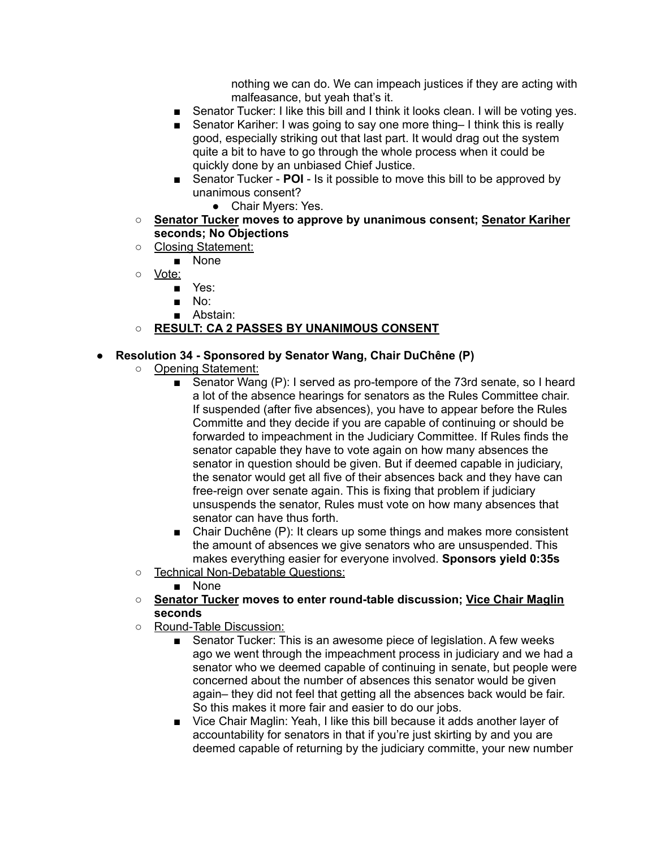nothing we can do. We can impeach justices if they are acting with malfeasance, but yeah that's it.

- Senator Tucker: I like this bill and I think it looks clean. I will be voting yes.
- Senator Kariher: I was going to say one more thing– I think this is really good, especially striking out that last part. It would drag out the system quite a bit to have to go through the whole process when it could be quickly done by an unbiased Chief Justice.
- Senator Tucker **POI** Is it possible to move this bill to be approved by unanimous consent?
	- Chair Myers: Yes.
- **○ Senator Tucker moves to approve by unanimous consent; Senator Kariher seconds; No Objections**
- Closing Statement:
	- None

○ Vote:

- Yes:
- No:
- Abstain:
- **○ RESULT: CA 2 PASSES BY UNANIMOUS CONSENT**

#### **● Resolution 34 - Sponsored by Senator Wang, Chair DuChêne (P)**

- Opening Statement:
	- Senator Wang (P): I served as pro-tempore of the 73rd senate, so I heard a lot of the absence hearings for senators as the Rules Committee chair. If suspended (after five absences), you have to appear before the Rules Committe and they decide if you are capable of continuing or should be forwarded to impeachment in the Judiciary Committee. If Rules finds the senator capable they have to vote again on how many absences the senator in question should be given. But if deemed capable in judiciary, the senator would get all five of their absences back and they have can free-reign over senate again. This is fixing that problem if judiciary unsuspends the senator, Rules must vote on how many absences that senator can have thus forth.
	- Chair Duchêne (P): It clears up some things and makes more consistent the amount of absences we give senators who are unsuspended. This makes everything easier for everyone involved. **Sponsors yield 0:35s**
- Technical Non-Debatable Questions:
	- None
- **○ Senator Tucker moves to enter round-table discussion; Vice Chair Maglin seconds**
- Round-Table Discussion:
	- Senator Tucker: This is an awesome piece of legislation. A few weeks ago we went through the impeachment process in judiciary and we had a senator who we deemed capable of continuing in senate, but people were concerned about the number of absences this senator would be given again– they did not feel that getting all the absences back would be fair. So this makes it more fair and easier to do our jobs.
	- Vice Chair Maglin: Yeah, I like this bill because it adds another layer of accountability for senators in that if you're just skirting by and you are deemed capable of returning by the judiciary committe, your new number